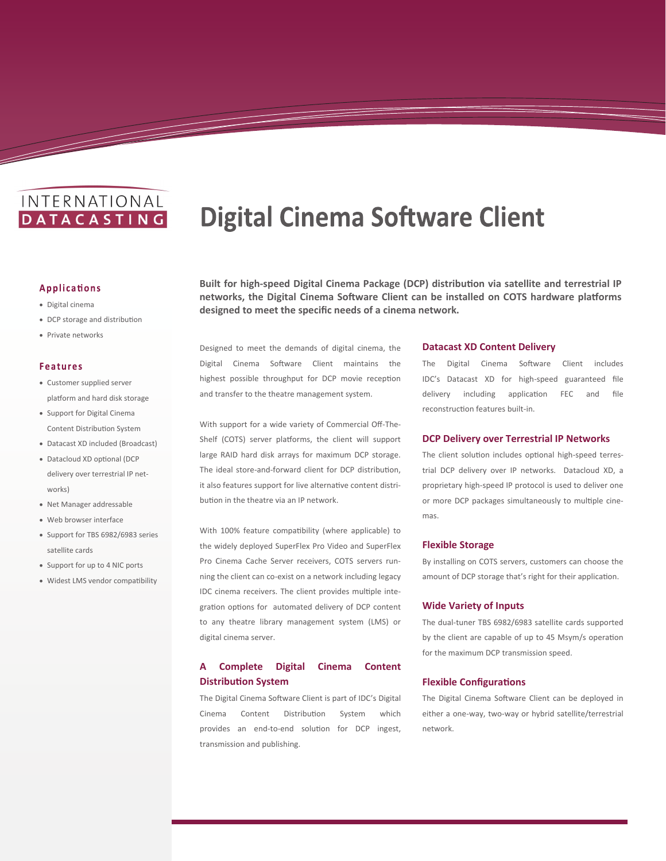# INTERNATIONAL **DATACASTING**

# **Digital Cinema Software Client**

# **Applications**

- Digital cinema
- DCP storage and distribution
- Private networks

#### **Features**

- Customer supplied server platform and hard disk storage
- Support for Digital Cinema Content Distribution System
- Datacast XD included (Broadcast)
- Datacloud XD optional (DCP delivery over terrestrial IP networks)
- Net Manager addressable
- Web browser interface
- Support for TBS 6982/6983 series satellite cards
- Support for up to 4 NIC ports
- Widest LMS vendor compatibility

**Built for high-speed Digital Cinema Package (DCP) distribution via satellite and terrestrial IP networks, the Digital Cinema Software Client can be installed on COTS hardware platforms designed to meet the specific needs of a cinema network.**

Designed to meet the demands of digital cinema, the Digital Cinema Software Client maintains the highest possible throughput for DCP movie reception and transfer to the theatre management system.

With support for a wide variety of Commercial Off-The-Shelf (COTS) server platforms, the client will support large RAID hard disk arrays for maximum DCP storage. The ideal store-and-forward client for DCP distribution, it also features support for live alternative content distribution in the theatre via an IP network.

With 100% feature compatibility (where applicable) to the widely deployed SuperFlex Pro Video and SuperFlex Pro Cinema Cache Server receivers, COTS servers running the client can co-exist on a network including legacy IDC cinema receivers. The client provides multiple integration options for automated delivery of DCP content to any theatre library management system (LMS) or digital cinema server.

# **A Complete Digital Cinema Content Distribution System**

The Digital Cinema Software Client is part of IDC's Digital Cinema Content Distribution System which provides an end-to-end solution for DCP ingest, transmission and publishing.

## **Datacast XD Content Delivery**

The Digital Cinema Software Client includes IDC's Datacast XD for high-speed guaranteed file delivery including application FEC and file reconstruction features built-in.

#### **DCP Delivery over Terrestrial IP Networks**

The client solution includes optional high-speed terrestrial DCP delivery over IP networks. Datacloud XD, a proprietary high-speed IP protocol is used to deliver one or more DCP packages simultaneously to multiple cinemas.

#### **Flexible Storage**

By installing on COTS servers, customers can choose the amount of DCP storage that's right for their application.

#### **Wide Variety of Inputs**

The dual-tuner TBS 6982/6983 satellite cards supported by the client are capable of up to 45 Msym/s operation for the maximum DCP transmission speed.

#### **Flexible Configurations**

The Digital Cinema Software Client can be deployed in either a one-way, two-way or hybrid satellite/terrestrial network.